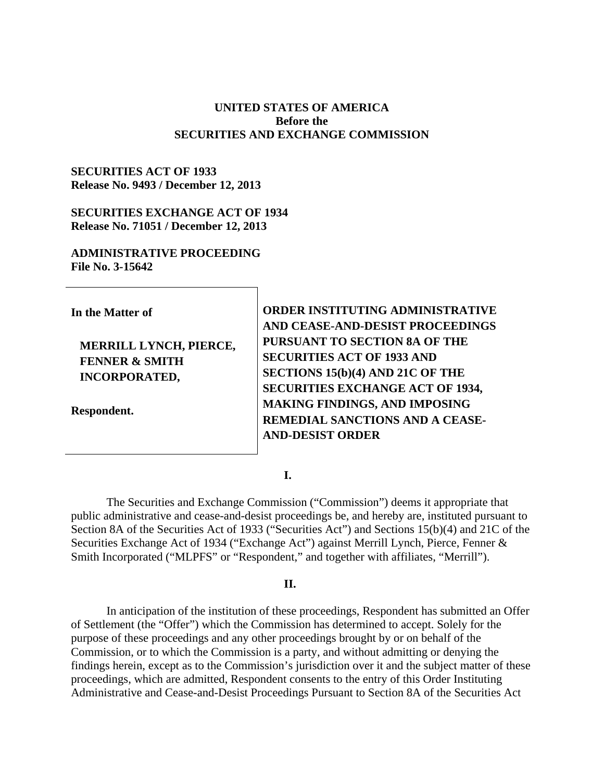#### **UNITED STATES OF AMERICA Before the SECURITIES AND EXCHANGE COMMISSION**

#### **SECURITIES ACT OF 1933 Release No. 9493 / December 12, 2013**

### **SECURITIES EXCHANGE ACT OF 1934 Release No. 71051 / December 12, 2013**

#### **ADMINISTRATIVE PROCEEDING File No. 3-15642**

| In the Matter of                                                            | ORDER INSTITUTING ADMINISTRATIVE<br>AND CEASE-AND-DESIST PROCEEDINGS                                                                              |
|-----------------------------------------------------------------------------|---------------------------------------------------------------------------------------------------------------------------------------------------|
| MERRILL LYNCH, PIERCE,<br><b>FENNER &amp; SMITH</b><br><b>INCORPORATED,</b> | PURSUANT TO SECTION 8A OF THE<br><b>SECURITIES ACT OF 1933 AND</b><br>SECTIONS 15(b)(4) AND 21C OF THE<br><b>SECURITIES EXCHANGE ACT OF 1934,</b> |
| Respondent.                                                                 | MAKING FINDINGS, AND IMPOSING<br>REMEDIAL SANCTIONS AND A CEASE-<br><b>AND-DESIST ORDER</b>                                                       |

#### **I.**

The Securities and Exchange Commission ("Commission") deems it appropriate that public administrative and cease-and-desist proceedings be, and hereby are, instituted pursuant to Section 8A of the Securities Act of 1933 ("Securities Act") and Sections 15(b)(4) and 21C of the Securities Exchange Act of 1934 ("Exchange Act") against Merrill Lynch, Pierce, Fenner & Smith Incorporated ("MLPFS" or "Respondent," and together with affiliates, "Merrill").

#### **II.**

In anticipation of the institution of these proceedings, Respondent has submitted an Offer of Settlement (the "Offer") which the Commission has determined to accept. Solely for the purpose of these proceedings and any other proceedings brought by or on behalf of the Commission, or to which the Commission is a party, and without admitting or denying the findings herein, except as to the Commission's jurisdiction over it and the subject matter of these proceedings, which are admitted, Respondent consents to the entry of this Order Instituting Administrative and Cease-and-Desist Proceedings Pursuant to Section 8A of the Securities Act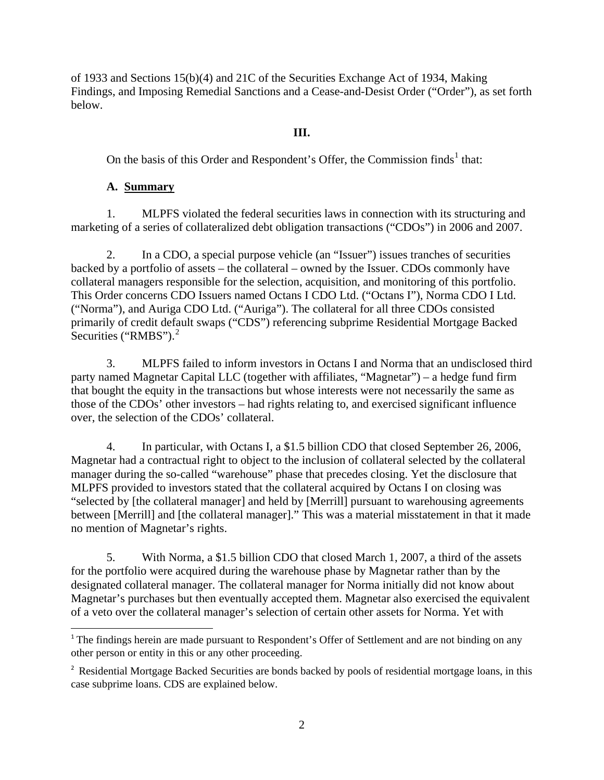of 1933 and Sections 15(b)(4) and 21C of the Securities Exchange Act of 1934, Making Findings, and Imposing Remedial Sanctions and a Cease-and-Desist Order ("Order"), as set forth below.

### **III.**

On the basis of this Order and Respondent's Offer, the Commission finds<sup>1</sup> that:

# **A. Summary**

1. MLPFS violated the federal securities laws in connection with its structuring and marketing of a series of collateralized debt obligation transactions ("CDOs") in 2006 and 2007.

2. In a CDO, a special purpose vehicle (an "Issuer") issues tranches of securities backed by a portfolio of assets – the collateral – owned by the Issuer. CDOs commonly have collateral managers responsible for the selection, acquisition, and monitoring of this portfolio. This Order concerns CDO Issuers named Octans I CDO Ltd. ("Octans I"), Norma CDO I Ltd. ("Norma"), and Auriga CDO Ltd. ("Auriga"). The collateral for all three CDOs consisted primarily of credit default swaps ("CDS") referencing subprime Residential Mortgage Backed Securities ("RMBS").<sup>2</sup>

3. MLPFS failed to inform investors in Octans I and Norma that an undisclosed third party named Magnetar Capital LLC (together with affiliates, "Magnetar") – a hedge fund firm that bought the equity in the transactions but whose interests were not necessarily the same as those of the CDOs' other investors – had rights relating to, and exercised significant influence over, the selection of the CDOs' collateral.

4. In particular, with Octans I, a \$1.5 billion CDO that closed September 26, 2006, Magnetar had a contractual right to object to the inclusion of collateral selected by the collateral manager during the so-called "warehouse" phase that precedes closing. Yet the disclosure that MLPFS provided to investors stated that the collateral acquired by Octans I on closing was "selected by [the collateral manager] and held by [Merrill] pursuant to warehousing agreements between [Merrill] and [the collateral manager]." This was a material misstatement in that it made no mention of Magnetar's rights.

5. With Norma, a \$1.5 billion CDO that closed March 1, 2007, a third of the assets for the portfolio were acquired during the warehouse phase by Magnetar rather than by the designated collateral manager. The collateral manager for Norma initially did not know about Magnetar's purchases but then eventually accepted them. Magnetar also exercised the equivalent of a veto over the collateral manager's selection of certain other assets for Norma. Yet with

<sup>&</sup>lt;sup>1</sup> The findings herein are made pursuant to Respondent's Offer of Settlement and are not binding on any other person or entity in this or any other proceeding.

<sup>&</sup>lt;sup>2</sup> Residential Mortgage Backed Securities are bonds backed by pools of residential mortgage loans, in this case subprime loans. CDS are explained below.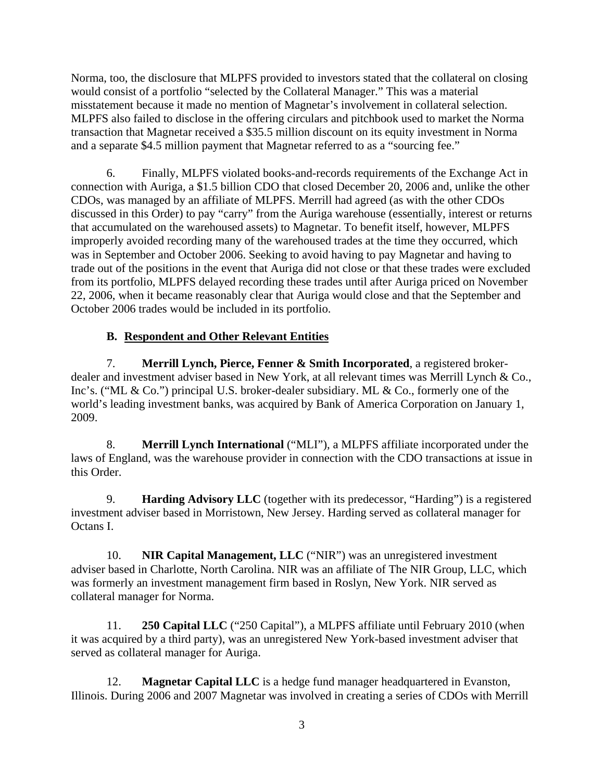Norma, too, the disclosure that MLPFS provided to investors stated that the collateral on closing would consist of a portfolio "selected by the Collateral Manager." This was a material misstatement because it made no mention of Magnetar's involvement in collateral selection. MLPFS also failed to disclose in the offering circulars and pitchbook used to market the Norma transaction that Magnetar received a \$35.5 million discount on its equity investment in Norma and a separate \$4.5 million payment that Magnetar referred to as a "sourcing fee."

6. Finally, MLPFS violated books-and-records requirements of the Exchange Act in connection with Auriga, a \$1.5 billion CDO that closed December 20, 2006 and, unlike the other CDOs, was managed by an affiliate of MLPFS. Merrill had agreed (as with the other CDOs discussed in this Order) to pay "carry" from the Auriga warehouse (essentially, interest or returns that accumulated on the warehoused assets) to Magnetar. To benefit itself, however, MLPFS improperly avoided recording many of the warehoused trades at the time they occurred, which was in September and October 2006. Seeking to avoid having to pay Magnetar and having to trade out of the positions in the event that Auriga did not close or that these trades were excluded from its portfolio, MLPFS delayed recording these trades until after Auriga priced on November 22, 2006, when it became reasonably clear that Auriga would close and that the September and October 2006 trades would be included in its portfolio.

# **B. Respondent and Other Relevant Entities**

7. **Merrill Lynch, Pierce, Fenner & Smith Incorporated**, a registered brokerdealer and investment adviser based in New York, at all relevant times was Merrill Lynch & Co., Inc's. ("ML & Co.") principal U.S. broker-dealer subsidiary. ML & Co., formerly one of the world's leading investment banks, was acquired by Bank of America Corporation on January 1, 2009.

8. **Merrill Lynch International** ("MLI"), a MLPFS affiliate incorporated under the laws of England, was the warehouse provider in connection with the CDO transactions at issue in this Order.

9. **Harding Advisory LLC** (together with its predecessor, "Harding") is a registered investment adviser based in Morristown, New Jersey. Harding served as collateral manager for Octans I.

10. **NIR Capital Management, LLC** ("NIR") was an unregistered investment adviser based in Charlotte, North Carolina. NIR was an affiliate of The NIR Group, LLC, which was formerly an investment management firm based in Roslyn, New York. NIR served as collateral manager for Norma.

11. **250 Capital LLC** ("250 Capital"), a MLPFS affiliate until February 2010 (when it was acquired by a third party), was an unregistered New York-based investment adviser that served as collateral manager for Auriga.

12. **Magnetar Capital LLC** is a hedge fund manager headquartered in Evanston, Illinois. During 2006 and 2007 Magnetar was involved in creating a series of CDOs with Merrill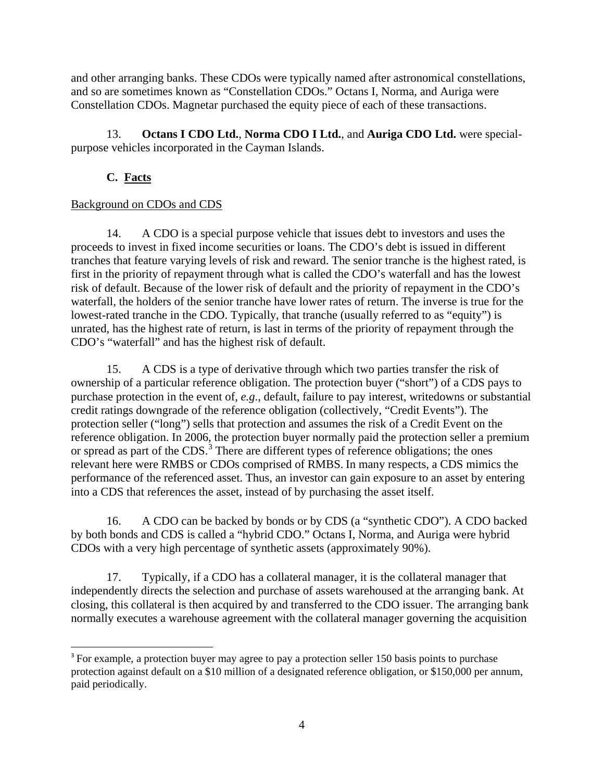and other arranging banks. These CDOs were typically named after astronomical constellations, and so are sometimes known as "Constellation CDOs." Octans I, Norma, and Auriga were Constellation CDOs. Magnetar purchased the equity piece of each of these transactions.

13. **Octans I CDO Ltd.**, **Norma CDO I Ltd.**, and **Auriga CDO Ltd.** were specialpurpose vehicles incorporated in the Cayman Islands.

# **C. Facts**

# Background on CDOs and CDS

14. A CDO is a special purpose vehicle that issues debt to investors and uses the proceeds to invest in fixed income securities or loans. The CDO's debt is issued in different tranches that feature varying levels of risk and reward. The senior tranche is the highest rated, is first in the priority of repayment through what is called the CDO's waterfall and has the lowest risk of default. Because of the lower risk of default and the priority of repayment in the CDO's waterfall, the holders of the senior tranche have lower rates of return. The inverse is true for the lowest-rated tranche in the CDO. Typically, that tranche (usually referred to as "equity") is unrated, has the highest rate of return, is last in terms of the priority of repayment through the CDO's "waterfall" and has the highest risk of default.

15. A CDS is a type of derivative through which two parties transfer the risk of ownership of a particular reference obligation. The protection buyer ("short") of a CDS pays to purchase protection in the event of, *e.g*., default, failure to pay interest, writedowns or substantial credit ratings downgrade of the reference obligation (collectively, "Credit Events"). The protection seller ("long") sells that protection and assumes the risk of a Credit Event on the reference obligation. In 2006, the protection buyer normally paid the protection seller a premium or spread as part of the CDS.<sup>3</sup> There are different types of reference obligations; the ones relevant here were RMBS or CDOs comprised of RMBS. In many respects, a CDS mimics the performance of the referenced asset. Thus, an investor can gain exposure to an asset by entering into a CDS that references the asset, instead of by purchasing the asset itself.

16. A CDO can be backed by bonds or by CDS (a "synthetic CDO"). A CDO backed by both bonds and CDS is called a "hybrid CDO." Octans I, Norma, and Auriga were hybrid CDOs with a very high percentage of synthetic assets (approximately 90%).

17. Typically, if a CDO has a collateral manager, it is the collateral manager that independently directs the selection and purchase of assets warehoused at the arranging bank. At closing, this collateral is then acquired by and transferred to the CDO issuer. The arranging bank normally executes a warehouse agreement with the collateral manager governing the acquisition

<sup>&</sup>lt;sup>3</sup> For example, a protection buyer may agree to pay a protection seller 150 basis points to purchase protection against default on a \$10 million of a designated reference obligation, or \$150,000 per annum, paid periodically.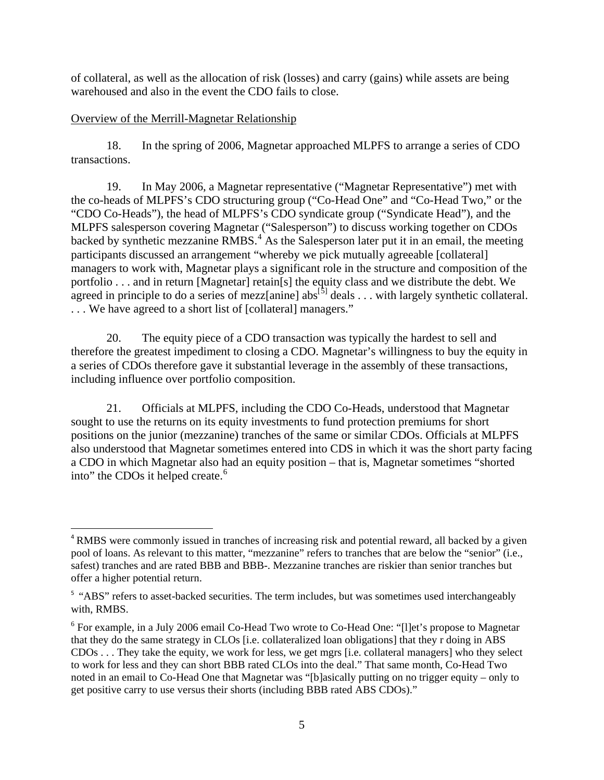of collateral, as well as the allocation of risk (losses) and carry (gains) while assets are being warehoused and also in the event the CDO fails to close.

### Overview of the Merrill-Magnetar Relationship

18. In the spring of 2006, Magnetar approached MLPFS to arrange a series of CDO transactions.

19. In May 2006, a Magnetar representative ("Magnetar Representative") met with the co-heads of MLPFS's CDO structuring group ("Co-Head One" and "Co-Head Two," or the "CDO Co-Heads"), the head of MLPFS's CDO syndicate group ("Syndicate Head"), and the MLPFS salesperson covering Magnetar ("Salesperson") to discuss working together on CDOs backed by synthetic mezzanine RMBS.<sup>4</sup> As the Salesperson later put it in an email, the meeting participants discussed an arrangement "whereby we pick mutually agreeable [collateral] managers to work with, Magnetar plays a significant role in the structure and composition of the portfolio . . . and in return [Magnetar] retain[s] the equity class and we distribute the debt. We agreed in principle to do a series of mezz[anine] abs<sup>[5]</sup> deals . . . with largely synthetic collateral. . . . We have agreed to a short list of [collateral] managers."

20. The equity piece of a CDO transaction was typically the hardest to sell and therefore the greatest impediment to closing a CDO. Magnetar's willingness to buy the equity in a series of CDOs therefore gave it substantial leverage in the assembly of these transactions, including influence over portfolio composition.

21. Officials at MLPFS, including the CDO Co-Heads, understood that Magnetar sought to use the returns on its equity investments to fund protection premiums for short positions on the junior (mezzanine) tranches of the same or similar CDOs. Officials at MLPFS also understood that Magnetar sometimes entered into CDS in which it was the short party facing a CDO in which Magnetar also had an equity position – that is, Magnetar sometimes "shorted into" the CDOs it helped create. 6

 <sup>4</sup> RMBS were commonly issued in tranches of increasing risk and potential reward, all backed by a given pool of loans. As relevant to this matter, "mezzanine" refers to tranches that are below the "senior" (i.e., safest) tranches and are rated BBB and BBB-. Mezzanine tranches are riskier than senior tranches but offer a higher potential return.

<sup>&</sup>lt;sup>5</sup> "ABS" refers to asset-backed securities. The term includes, but was sometimes used interchangeably with, RMBS.

<sup>6</sup> For example, in a July 2006 email Co-Head Two wrote to Co-Head One: "[l]et's propose to Magnetar that they do the same strategy in CLOs [i.e. collateralized loan obligations] that they r doing in ABS CDOs . . . They take the equity, we work for less, we get mgrs [i.e. collateral managers] who they select to work for less and they can short BBB rated CLOs into the deal." That same month, Co-Head Two noted in an email to Co-Head One that Magnetar was "[b]asically putting on no trigger equity – only to get positive carry to use versus their shorts (including BBB rated ABS CDOs)."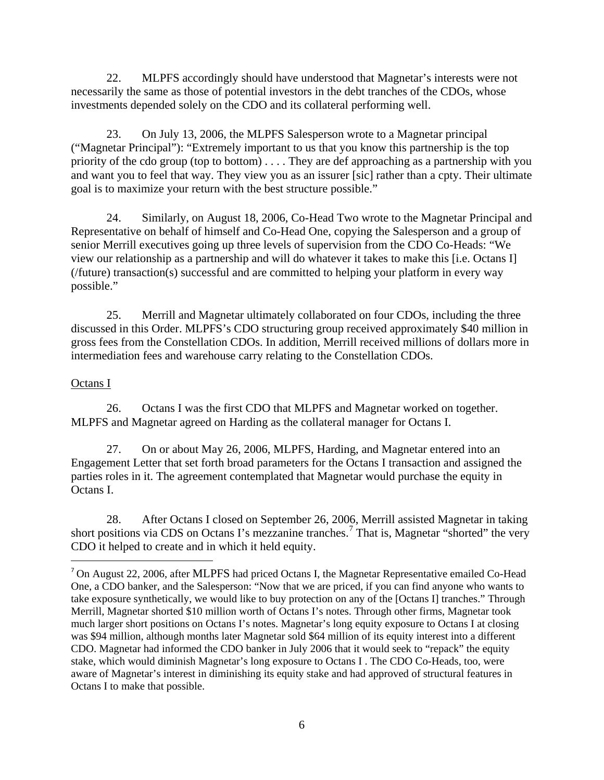22. MLPFS accordingly should have understood that Magnetar's interests were not necessarily the same as those of potential investors in the debt tranches of the CDOs, whose investments depended solely on the CDO and its collateral performing well.

23. On July 13, 2006, the MLPFS Salesperson wrote to a Magnetar principal ("Magnetar Principal"): "Extremely important to us that you know this partnership is the top priority of the cdo group (top to bottom) . . . . They are def approaching as a partnership with you and want you to feel that way. They view you as an issurer [sic] rather than a cpty. Their ultimate goal is to maximize your return with the best structure possible."

24. Similarly, on August 18, 2006, Co-Head Two wrote to the Magnetar Principal and Representative on behalf of himself and Co-Head One, copying the Salesperson and a group of senior Merrill executives going up three levels of supervision from the CDO Co-Heads: "We view our relationship as a partnership and will do whatever it takes to make this [i.e. Octans I] (/future) transaction(s) successful and are committed to helping your platform in every way possible."

25. Merrill and Magnetar ultimately collaborated on four CDOs, including the three discussed in this Order. MLPFS's CDO structuring group received approximately \$40 million in gross fees from the Constellation CDOs. In addition, Merrill received millions of dollars more in intermediation fees and warehouse carry relating to the Constellation CDOs.

### Octans I

26. Octans I was the first CDO that MLPFS and Magnetar worked on together. MLPFS and Magnetar agreed on Harding as the collateral manager for Octans I.

27. On or about May 26, 2006, MLPFS, Harding, and Magnetar entered into an Engagement Letter that set forth broad parameters for the Octans I transaction and assigned the parties roles in it. The agreement contemplated that Magnetar would purchase the equity in Octans I.

28. After Octans I closed on September 26, 2006, Merrill assisted Magnetar in taking short positions via CDS on Octans I's mezzanine tranches.<sup>7</sup> That is, Magnetar "shorted" the very CDO it helped to create and in which it held equity.

<sup>&</sup>lt;sup>7</sup> On August 22, 2006, after MLPFS had priced Octans I, the Magnetar Representative emailed Co-Head One, a CDO banker, and the Salesperson: "Now that we are priced, if you can find anyone who wants to take exposure synthetically, we would like to buy protection on any of the [Octans I] tranches." Through Merrill, Magnetar shorted \$10 million worth of Octans I's notes. Through other firms, Magnetar took much larger short positions on Octans I's notes. Magnetar's long equity exposure to Octans I at closing was \$94 million, although months later Magnetar sold \$64 million of its equity interest into a different CDO. Magnetar had informed the CDO banker in July 2006 that it would seek to "repack" the equity stake, which would diminish Magnetar's long exposure to Octans I . The CDO Co-Heads, too, were aware of Magnetar's interest in diminishing its equity stake and had approved of structural features in Octans I to make that possible.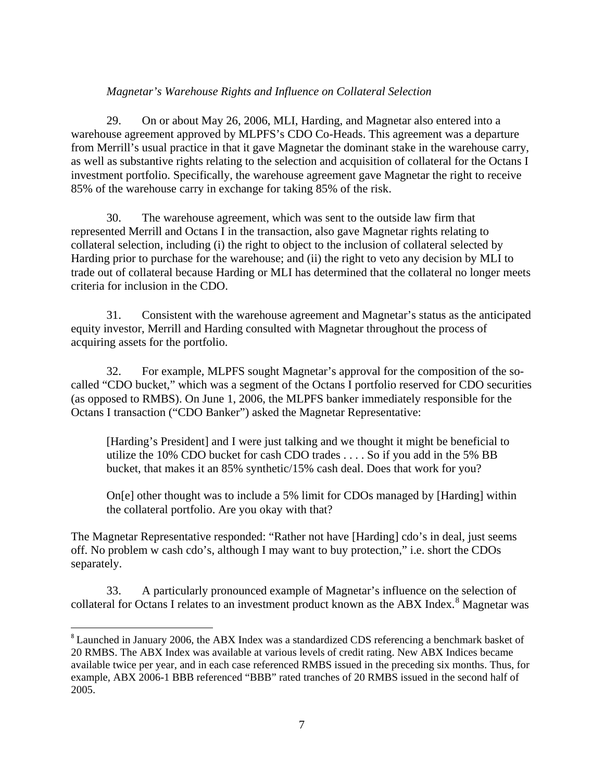### *Magnetar's Warehouse Rights and Influence on Collateral Selection*

29. On or about May 26, 2006, MLI, Harding, and Magnetar also entered into a warehouse agreement approved by MLPFS's CDO Co-Heads. This agreement was a departure from Merrill's usual practice in that it gave Magnetar the dominant stake in the warehouse carry, as well as substantive rights relating to the selection and acquisition of collateral for the Octans I investment portfolio. Specifically, the warehouse agreement gave Magnetar the right to receive 85% of the warehouse carry in exchange for taking 85% of the risk.

30. The warehouse agreement, which was sent to the outside law firm that represented Merrill and Octans I in the transaction, also gave Magnetar rights relating to collateral selection, including (i) the right to object to the inclusion of collateral selected by Harding prior to purchase for the warehouse; and (ii) the right to veto any decision by MLI to trade out of collateral because Harding or MLI has determined that the collateral no longer meets criteria for inclusion in the CDO.

31. Consistent with the warehouse agreement and Magnetar's status as the anticipated equity investor, Merrill and Harding consulted with Magnetar throughout the process of acquiring assets for the portfolio.

32. For example, MLPFS sought Magnetar's approval for the composition of the socalled "CDO bucket," which was a segment of the Octans I portfolio reserved for CDO securities (as opposed to RMBS). On June 1, 2006, the MLPFS banker immediately responsible for the Octans I transaction ("CDO Banker") asked the Magnetar Representative:

[Harding's President] and I were just talking and we thought it might be beneficial to utilize the 10% CDO bucket for cash CDO trades . . . . So if you add in the 5% BB bucket, that makes it an 85% synthetic/15% cash deal. Does that work for you?

On[e] other thought was to include a 5% limit for CDOs managed by [Harding] within the collateral portfolio. Are you okay with that?

The Magnetar Representative responded: "Rather not have [Harding] cdo's in deal, just seems off. No problem w cash cdo's, although I may want to buy protection," i.e. short the CDOs separately.

33. A particularly pronounced example of Magnetar's influence on the selection of collateral for Octans I relates to an investment product known as the ABX Index.<sup>8</sup> Magnetar was

<sup>&</sup>lt;sup>8</sup> Launched in January 2006, the ABX Index was a standardized CDS referencing a benchmark basket of 20 RMBS. The ABX Index was available at various levels of credit rating. New ABX Indices became available twice per year, and in each case referenced RMBS issued in the preceding six months. Thus, for example, ABX 2006-1 BBB referenced "BBB" rated tranches of 20 RMBS issued in the second half of 2005.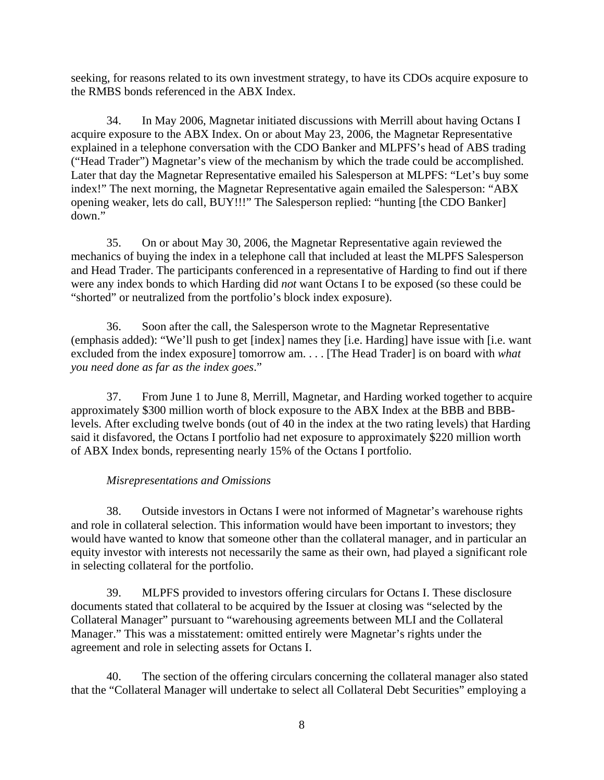seeking, for reasons related to its own investment strategy, to have its CDOs acquire exposure to the RMBS bonds referenced in the ABX Index.

34. In May 2006, Magnetar initiated discussions with Merrill about having Octans I acquire exposure to the ABX Index. On or about May 23, 2006, the Magnetar Representative explained in a telephone conversation with the CDO Banker and MLPFS's head of ABS trading ("Head Trader") Magnetar's view of the mechanism by which the trade could be accomplished. Later that day the Magnetar Representative emailed his Salesperson at MLPFS: "Let's buy some index!" The next morning, the Magnetar Representative again emailed the Salesperson: "ABX opening weaker, lets do call, BUY!!!" The Salesperson replied: "hunting [the CDO Banker] down."

35. On or about May 30, 2006, the Magnetar Representative again reviewed the mechanics of buying the index in a telephone call that included at least the MLPFS Salesperson and Head Trader. The participants conferenced in a representative of Harding to find out if there were any index bonds to which Harding did *not* want Octans I to be exposed (so these could be "shorted" or neutralized from the portfolio's block index exposure).

36. Soon after the call, the Salesperson wrote to the Magnetar Representative (emphasis added): "We'll push to get [index] names they [i.e. Harding] have issue with [i.e. want excluded from the index exposure] tomorrow am. . . . [The Head Trader] is on board with *what you need done as far as the index goes*."

37. From June 1 to June 8, Merrill, Magnetar, and Harding worked together to acquire approximately \$300 million worth of block exposure to the ABX Index at the BBB and BBBlevels. After excluding twelve bonds (out of 40 in the index at the two rating levels) that Harding said it disfavored, the Octans I portfolio had net exposure to approximately \$220 million worth of ABX Index bonds, representing nearly 15% of the Octans I portfolio.

#### *Misrepresentations and Omissions*

38. Outside investors in Octans I were not informed of Magnetar's warehouse rights and role in collateral selection. This information would have been important to investors; they would have wanted to know that someone other than the collateral manager, and in particular an equity investor with interests not necessarily the same as their own, had played a significant role in selecting collateral for the portfolio.

39. MLPFS provided to investors offering circulars for Octans I. These disclosure documents stated that collateral to be acquired by the Issuer at closing was "selected by the Collateral Manager" pursuant to "warehousing agreements between MLI and the Collateral Manager." This was a misstatement: omitted entirely were Magnetar's rights under the agreement and role in selecting assets for Octans I.

40. The section of the offering circulars concerning the collateral manager also stated that the "Collateral Manager will undertake to select all Collateral Debt Securities" employing a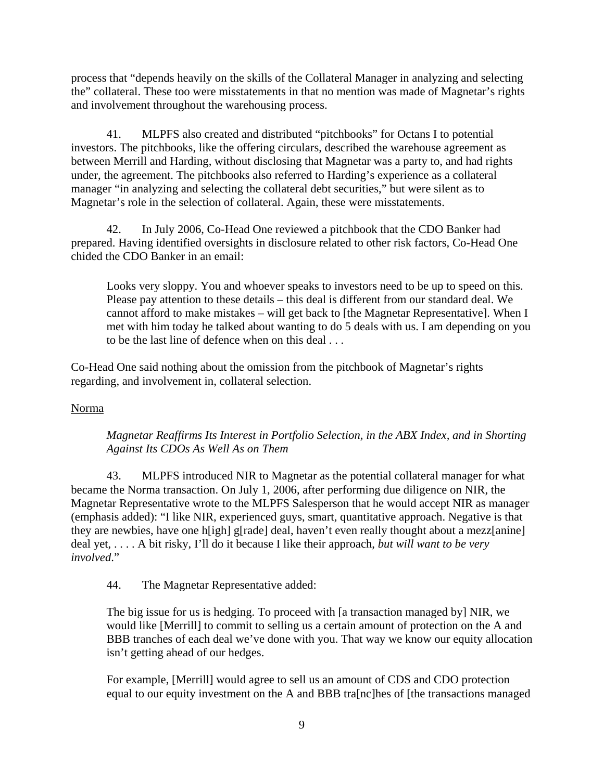process that "depends heavily on the skills of the Collateral Manager in analyzing and selecting the" collateral. These too were misstatements in that no mention was made of Magnetar's rights and involvement throughout the warehousing process.

41. MLPFS also created and distributed "pitchbooks" for Octans I to potential investors. The pitchbooks, like the offering circulars, described the warehouse agreement as between Merrill and Harding, without disclosing that Magnetar was a party to, and had rights under, the agreement. The pitchbooks also referred to Harding's experience as a collateral manager "in analyzing and selecting the collateral debt securities," but were silent as to Magnetar's role in the selection of collateral. Again, these were misstatements.

42. In July 2006, Co-Head One reviewed a pitchbook that the CDO Banker had prepared. Having identified oversights in disclosure related to other risk factors, Co-Head One chided the CDO Banker in an email:

Looks very sloppy. You and whoever speaks to investors need to be up to speed on this. Please pay attention to these details – this deal is different from our standard deal. We cannot afford to make mistakes – will get back to [the Magnetar Representative]. When I met with him today he talked about wanting to do 5 deals with us. I am depending on you to be the last line of defence when on this deal . . .

Co-Head One said nothing about the omission from the pitchbook of Magnetar's rights regarding, and involvement in, collateral selection.

### Norma

### *Magnetar Reaffirms Its Interest in Portfolio Selection, in the ABX Index, and in Shorting Against Its CDOs As Well As on Them*

43. MLPFS introduced NIR to Magnetar as the potential collateral manager for what became the Norma transaction. On July 1, 2006, after performing due diligence on NIR, the Magnetar Representative wrote to the MLPFS Salesperson that he would accept NIR as manager (emphasis added): "I like NIR, experienced guys, smart, quantitative approach. Negative is that they are newbies, have one h[igh] g[rade] deal, haven't even really thought about a mezz[anine] deal yet, . . . . A bit risky, I'll do it because I like their approach, *but will want to be very involved*."

44. The Magnetar Representative added:

The big issue for us is hedging. To proceed with [a transaction managed by] NIR, we would like [Merrill] to commit to selling us a certain amount of protection on the A and BBB tranches of each deal we've done with you. That way we know our equity allocation isn't getting ahead of our hedges.

For example, [Merrill] would agree to sell us an amount of CDS and CDO protection equal to our equity investment on the A and BBB tra[nc]hes of [the transactions managed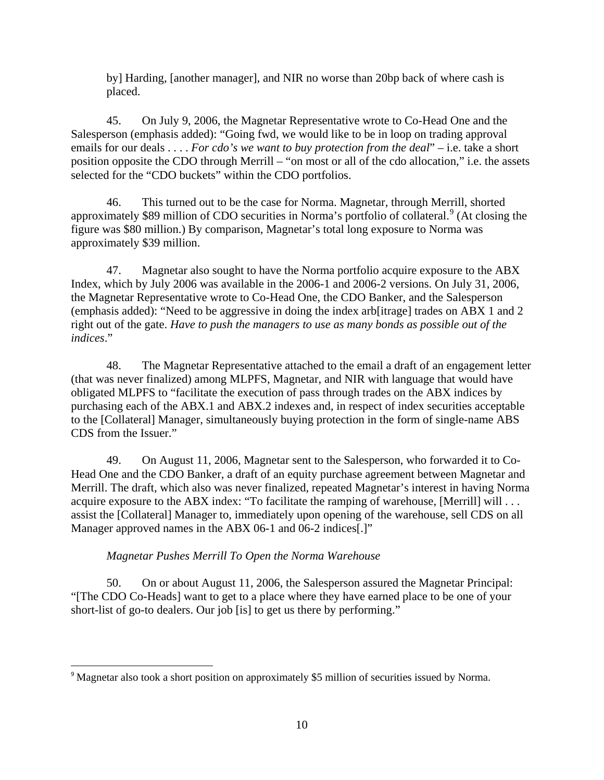by] Harding, [another manager], and NIR no worse than 20bp back of where cash is placed.

45. On July 9, 2006, the Magnetar Representative wrote to Co-Head One and the Salesperson (emphasis added): "Going fwd, we would like to be in loop on trading approval emails for our deals . . . . *For cdo's we want to buy protection from the deal*" – i.e. take a short position opposite the CDO through Merrill – "on most or all of the cdo allocation," i.e. the assets selected for the "CDO buckets" within the CDO portfolios.

46. This turned out to be the case for Norma. Magnetar, through Merrill, shorted approximately \$89 million of CDO securities in Norma's portfolio of collateral.<sup>9</sup> (At closing the figure was \$80 million.) By comparison, Magnetar's total long exposure to Norma was approximately \$39 million.

47. Magnetar also sought to have the Norma portfolio acquire exposure to the ABX Index, which by July 2006 was available in the 2006-1 and 2006-2 versions. On July 31, 2006, the Magnetar Representative wrote to Co-Head One, the CDO Banker, and the Salesperson (emphasis added): "Need to be aggressive in doing the index arb[itrage] trades on ABX 1 and 2 right out of the gate. *Have to push the managers to use as many bonds as possible out of the indices*."

48. The Magnetar Representative attached to the email a draft of an engagement letter (that was never finalized) among MLPFS, Magnetar, and NIR with language that would have obligated MLPFS to "facilitate the execution of pass through trades on the ABX indices by purchasing each of the ABX.1 and ABX.2 indexes and, in respect of index securities acceptable to the [Collateral] Manager, simultaneously buying protection in the form of single-name ABS CDS from the Issuer."

49. On August 11, 2006, Magnetar sent to the Salesperson, who forwarded it to Co-Head One and the CDO Banker, a draft of an equity purchase agreement between Magnetar and Merrill. The draft, which also was never finalized, repeated Magnetar's interest in having Norma acquire exposure to the ABX index: "To facilitate the ramping of warehouse, [Merrill] will . . . assist the [Collateral] Manager to, immediately upon opening of the warehouse, sell CDS on all Manager approved names in the ABX 06-1 and 06-2 indices[.]"

### *Magnetar Pushes Merrill To Open the Norma Warehouse*

50. On or about August 11, 2006, the Salesperson assured the Magnetar Principal: "[The CDO Co-Heads] want to get to a place where they have earned place to be one of your short-list of go-to dealers. Our job [is] to get us there by performing."

<sup>&</sup>lt;sup>9</sup> Magnetar also took a short position on approximately \$5 million of securities issued by Norma.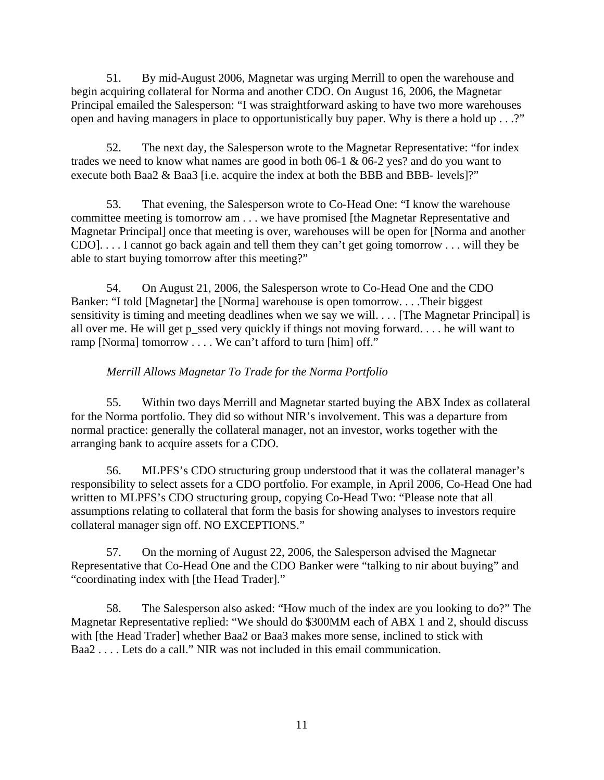51. By mid-August 2006, Magnetar was urging Merrill to open the warehouse and begin acquiring collateral for Norma and another CDO. On August 16, 2006, the Magnetar Principal emailed the Salesperson: "I was straightforward asking to have two more warehouses open and having managers in place to opportunistically buy paper. Why is there a hold up . . .?"

52. The next day, the Salesperson wrote to the Magnetar Representative: "for index trades we need to know what names are good in both 06-1 & 06-2 yes? and do you want to execute both Baa2 & Baa3 [i.e. acquire the index at both the BBB and BBB- levels]?"

53. That evening, the Salesperson wrote to Co-Head One: "I know the warehouse committee meeting is tomorrow am . . . we have promised [the Magnetar Representative and Magnetar Principal] once that meeting is over, warehouses will be open for [Norma and another CDO]. . . . I cannot go back again and tell them they can't get going tomorrow . . . will they be able to start buying tomorrow after this meeting?"

54. On August 21, 2006, the Salesperson wrote to Co-Head One and the CDO Banker: "I told [Magnetar] the [Norma] warehouse is open tomorrow. . . .Their biggest sensitivity is timing and meeting deadlines when we say we will. . . . [The Magnetar Principal] is all over me. He will get p\_ssed very quickly if things not moving forward. . . . he will want to ramp [Norma] tomorrow . . . . We can't afford to turn [him] off."

# *Merrill Allows Magnetar To Trade for the Norma Portfolio*

55. Within two days Merrill and Magnetar started buying the ABX Index as collateral for the Norma portfolio. They did so without NIR's involvement. This was a departure from normal practice: generally the collateral manager, not an investor, works together with the arranging bank to acquire assets for a CDO.

56. MLPFS's CDO structuring group understood that it was the collateral manager's responsibility to select assets for a CDO portfolio. For example, in April 2006, Co-Head One had written to MLPFS's CDO structuring group, copying Co-Head Two: "Please note that all assumptions relating to collateral that form the basis for showing analyses to investors require collateral manager sign off. NO EXCEPTIONS."

57. On the morning of August 22, 2006, the Salesperson advised the Magnetar Representative that Co-Head One and the CDO Banker were "talking to nir about buying" and "coordinating index with [the Head Trader]."

58. The Salesperson also asked: "How much of the index are you looking to do?" The Magnetar Representative replied: "We should do \$300MM each of ABX 1 and 2, should discuss with [the Head Trader] whether Baa2 or Baa3 makes more sense, inclined to stick with Baa2 . . . . Lets do a call." NIR was not included in this email communication.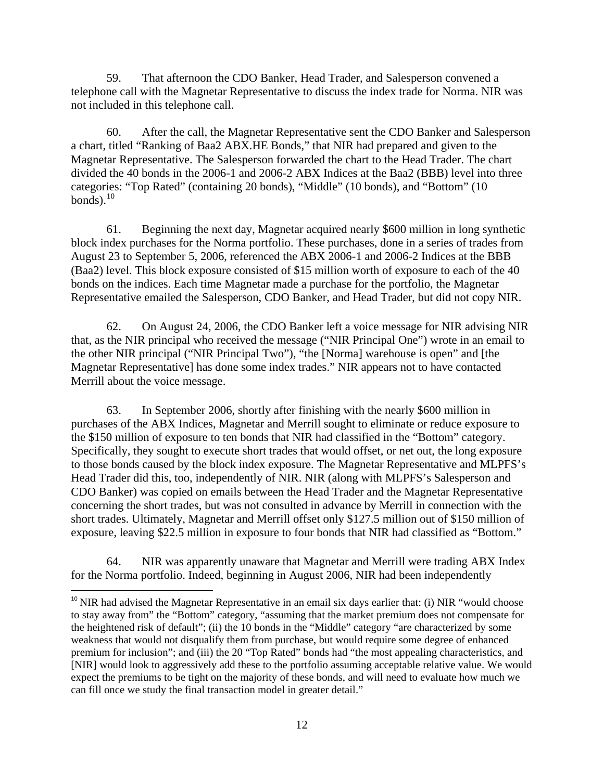59. That afternoon the CDO Banker, Head Trader, and Salesperson convened a telephone call with the Magnetar Representative to discuss the index trade for Norma. NIR was not included in this telephone call.

60. After the call, the Magnetar Representative sent the CDO Banker and Salesperson a chart, titled "Ranking of Baa2 ABX.HE Bonds," that NIR had prepared and given to the Magnetar Representative. The Salesperson forwarded the chart to the Head Trader. The chart divided the 40 bonds in the 2006-1 and 2006-2 ABX Indices at the Baa2 (BBB) level into three categories: "Top Rated" (containing 20 bonds), "Middle" (10 bonds), and "Bottom" (10 bonds). $10$ 

61. Beginning the next day, Magnetar acquired nearly \$600 million in long synthetic block index purchases for the Norma portfolio. These purchases, done in a series of trades from August 23 to September 5, 2006, referenced the ABX 2006-1 and 2006-2 Indices at the BBB (Baa2) level. This block exposure consisted of \$15 million worth of exposure to each of the 40 bonds on the indices. Each time Magnetar made a purchase for the portfolio, the Magnetar Representative emailed the Salesperson, CDO Banker, and Head Trader, but did not copy NIR.

62. On August 24, 2006, the CDO Banker left a voice message for NIR advising NIR that, as the NIR principal who received the message ("NIR Principal One") wrote in an email to the other NIR principal ("NIR Principal Two"), "the [Norma] warehouse is open" and [the Magnetar Representative] has done some index trades." NIR appears not to have contacted Merrill about the voice message.

63. In September 2006, shortly after finishing with the nearly \$600 million in purchases of the ABX Indices, Magnetar and Merrill sought to eliminate or reduce exposure to the \$150 million of exposure to ten bonds that NIR had classified in the "Bottom" category. Specifically, they sought to execute short trades that would offset, or net out, the long exposure to those bonds caused by the block index exposure. The Magnetar Representative and MLPFS's Head Trader did this, too, independently of NIR. NIR (along with MLPFS's Salesperson and CDO Banker) was copied on emails between the Head Trader and the Magnetar Representative concerning the short trades, but was not consulted in advance by Merrill in connection with the short trades. Ultimately, Magnetar and Merrill offset only \$127.5 million out of \$150 million of exposure, leaving \$22.5 million in exposure to four bonds that NIR had classified as "Bottom."

64. NIR was apparently unaware that Magnetar and Merrill were trading ABX Index for the Norma portfolio. Indeed, beginning in August 2006, NIR had been independently

 $10$  NIR had advised the Magnetar Representative in an email six days earlier that: (i) NIR "would choose to stay away from" the "Bottom" category, "assuming that the market premium does not compensate for the heightened risk of default"; (ii) the 10 bonds in the "Middle" category "are characterized by some weakness that would not disqualify them from purchase, but would require some degree of enhanced premium for inclusion"; and (iii) the 20 "Top Rated" bonds had "the most appealing characteristics, and [NIR] would look to aggressively add these to the portfolio assuming acceptable relative value. We would expect the premiums to be tight on the majority of these bonds, and will need to evaluate how much we can fill once we study the final transaction model in greater detail."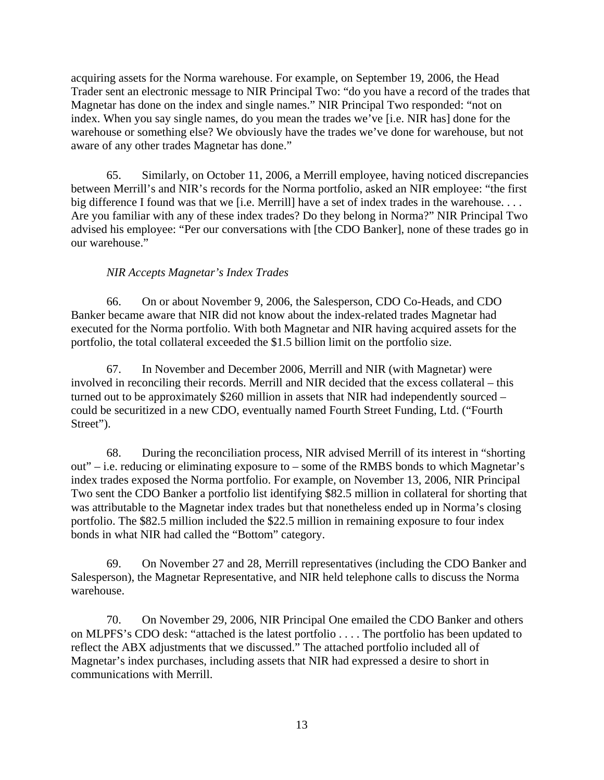acquiring assets for the Norma warehouse. For example, on September 19, 2006, the Head Trader sent an electronic message to NIR Principal Two: "do you have a record of the trades that Magnetar has done on the index and single names." NIR Principal Two responded: "not on index. When you say single names, do you mean the trades we've [i.e. NIR has] done for the warehouse or something else? We obviously have the trades we've done for warehouse, but not aware of any other trades Magnetar has done."

65. Similarly, on October 11, 2006, a Merrill employee, having noticed discrepancies between Merrill's and NIR's records for the Norma portfolio, asked an NIR employee: "the first big difference I found was that we [i.e. Merrill] have a set of index trades in the warehouse. . . . Are you familiar with any of these index trades? Do they belong in Norma?" NIR Principal Two advised his employee: "Per our conversations with [the CDO Banker], none of these trades go in our warehouse."

#### *NIR Accepts Magnetar's Index Trades*

66. On or about November 9, 2006, the Salesperson, CDO Co-Heads, and CDO Banker became aware that NIR did not know about the index-related trades Magnetar had executed for the Norma portfolio. With both Magnetar and NIR having acquired assets for the portfolio, the total collateral exceeded the \$1.5 billion limit on the portfolio size.

67. In November and December 2006, Merrill and NIR (with Magnetar) were involved in reconciling their records. Merrill and NIR decided that the excess collateral – this turned out to be approximately \$260 million in assets that NIR had independently sourced – could be securitized in a new CDO, eventually named Fourth Street Funding, Ltd. ("Fourth Street").

68. During the reconciliation process, NIR advised Merrill of its interest in "shorting out" – i.e. reducing or eliminating exposure to – some of the RMBS bonds to which Magnetar's index trades exposed the Norma portfolio. For example, on November 13, 2006, NIR Principal Two sent the CDO Banker a portfolio list identifying \$82.5 million in collateral for shorting that was attributable to the Magnetar index trades but that nonetheless ended up in Norma's closing portfolio. The \$82.5 million included the \$22.5 million in remaining exposure to four index bonds in what NIR had called the "Bottom" category.

69. On November 27 and 28, Merrill representatives (including the CDO Banker and Salesperson), the Magnetar Representative, and NIR held telephone calls to discuss the Norma warehouse.

70. On November 29, 2006, NIR Principal One emailed the CDO Banker and others on MLPFS's CDO desk: "attached is the latest portfolio . . . . The portfolio has been updated to reflect the ABX adjustments that we discussed." The attached portfolio included all of Magnetar's index purchases, including assets that NIR had expressed a desire to short in communications with Merrill.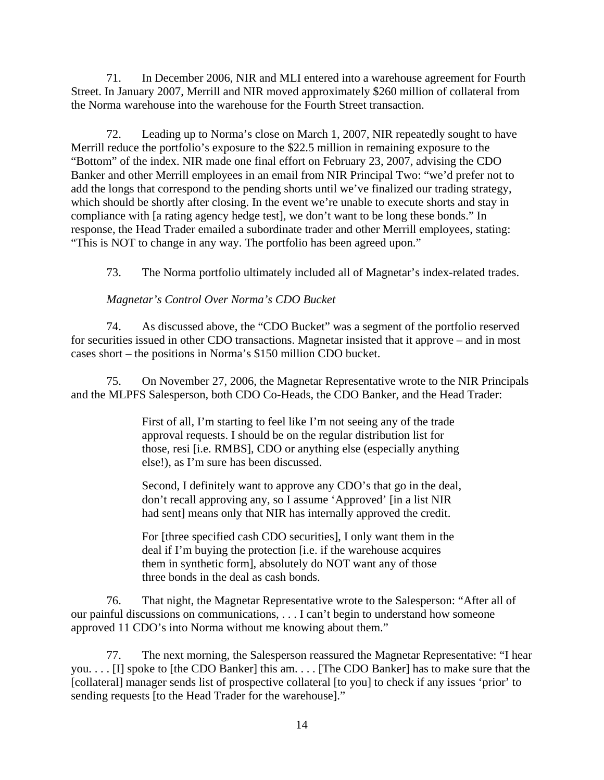71. In December 2006, NIR and MLI entered into a warehouse agreement for Fourth Street. In January 2007, Merrill and NIR moved approximately \$260 million of collateral from the Norma warehouse into the warehouse for the Fourth Street transaction.

72. Leading up to Norma's close on March 1, 2007, NIR repeatedly sought to have Merrill reduce the portfolio's exposure to the \$22.5 million in remaining exposure to the "Bottom" of the index. NIR made one final effort on February 23, 2007, advising the CDO Banker and other Merrill employees in an email from NIR Principal Two: "we'd prefer not to add the longs that correspond to the pending shorts until we've finalized our trading strategy, which should be shortly after closing. In the event we're unable to execute shorts and stay in compliance with [a rating agency hedge test], we don't want to be long these bonds." In response, the Head Trader emailed a subordinate trader and other Merrill employees, stating: "This is NOT to change in any way. The portfolio has been agreed upon."

73. The Norma portfolio ultimately included all of Magnetar's index-related trades.

### *Magnetar's Control Over Norma's CDO Bucket*

74. As discussed above, the "CDO Bucket" was a segment of the portfolio reserved for securities issued in other CDO transactions. Magnetar insisted that it approve – and in most cases short – the positions in Norma's \$150 million CDO bucket.

75. On November 27, 2006, the Magnetar Representative wrote to the NIR Principals and the MLPFS Salesperson, both CDO Co-Heads, the CDO Banker, and the Head Trader:

> First of all, I'm starting to feel like I'm not seeing any of the trade approval requests. I should be on the regular distribution list for those, resi [i.e. RMBS], CDO or anything else (especially anything else!), as I'm sure has been discussed.

> Second, I definitely want to approve any CDO's that go in the deal, don't recall approving any, so I assume 'Approved' [in a list NIR had sent] means only that NIR has internally approved the credit.

For [three specified cash CDO securities], I only want them in the deal if I'm buying the protection [i.e. if the warehouse acquires them in synthetic form], absolutely do NOT want any of those three bonds in the deal as cash bonds.

76. That night, the Magnetar Representative wrote to the Salesperson: "After all of our painful discussions on communications, . . . I can't begin to understand how someone approved 11 CDO's into Norma without me knowing about them."

77. The next morning, the Salesperson reassured the Magnetar Representative: "I hear you. . . . [I] spoke to [the CDO Banker] this am. . . . [The CDO Banker] has to make sure that the [collateral] manager sends list of prospective collateral [to you] to check if any issues 'prior' to sending requests [to the Head Trader for the warehouse]."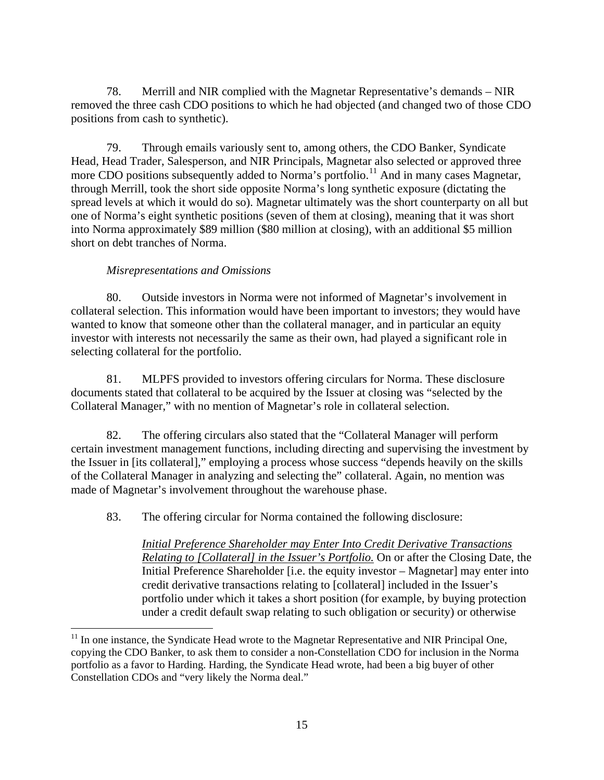78. Merrill and NIR complied with the Magnetar Representative's demands – NIR removed the three cash CDO positions to which he had objected (and changed two of those CDO positions from cash to synthetic).

79. Through emails variously sent to, among others, the CDO Banker, Syndicate Head, Head Trader, Salesperson, and NIR Principals, Magnetar also selected or approved three more CDO positions subsequently added to Norma's portfolio.<sup>11</sup> And in many cases Magnetar, through Merrill, took the short side opposite Norma's long synthetic exposure (dictating the spread levels at which it would do so). Magnetar ultimately was the short counterparty on all but one of Norma's eight synthetic positions (seven of them at closing), meaning that it was short into Norma approximately \$89 million (\$80 million at closing), with an additional \$5 million short on debt tranches of Norma.

### *Misrepresentations and Omissions*

 $\overline{\phantom{a}}$ 

80. Outside investors in Norma were not informed of Magnetar's involvement in collateral selection. This information would have been important to investors; they would have wanted to know that someone other than the collateral manager, and in particular an equity investor with interests not necessarily the same as their own, had played a significant role in selecting collateral for the portfolio.

81. MLPFS provided to investors offering circulars for Norma. These disclosure documents stated that collateral to be acquired by the Issuer at closing was "selected by the Collateral Manager," with no mention of Magnetar's role in collateral selection.

82. The offering circulars also stated that the "Collateral Manager will perform certain investment management functions, including directing and supervising the investment by the Issuer in [its collateral]," employing a process whose success "depends heavily on the skills of the Collateral Manager in analyzing and selecting the" collateral. Again, no mention was made of Magnetar's involvement throughout the warehouse phase.

83. The offering circular for Norma contained the following disclosure:

*Initial Preference Shareholder may Enter Into Credit Derivative Transactions Relating to [Collateral] in the Issuer's Portfolio.* On or after the Closing Date, the Initial Preference Shareholder [i.e. the equity investor – Magnetar] may enter into credit derivative transactions relating to [collateral] included in the Issuer's portfolio under which it takes a short position (for example, by buying protection under a credit default swap relating to such obligation or security) or otherwise

 $11$  In one instance, the Syndicate Head wrote to the Magnetar Representative and NIR Principal One, copying the CDO Banker, to ask them to consider a non-Constellation CDO for inclusion in the Norma portfolio as a favor to Harding. Harding, the Syndicate Head wrote, had been a big buyer of other Constellation CDOs and "very likely the Norma deal."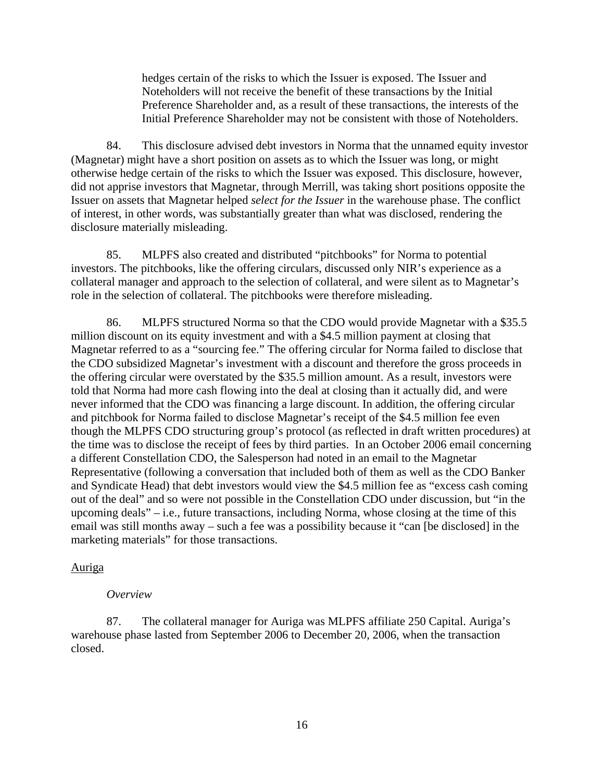hedges certain of the risks to which the Issuer is exposed. The Issuer and Noteholders will not receive the benefit of these transactions by the Initial Preference Shareholder and, as a result of these transactions, the interests of the Initial Preference Shareholder may not be consistent with those of Noteholders.

84. This disclosure advised debt investors in Norma that the unnamed equity investor (Magnetar) might have a short position on assets as to which the Issuer was long, or might otherwise hedge certain of the risks to which the Issuer was exposed. This disclosure, however, did not apprise investors that Magnetar, through Merrill, was taking short positions opposite the Issuer on assets that Magnetar helped *select for the Issuer* in the warehouse phase. The conflict of interest, in other words, was substantially greater than what was disclosed, rendering the disclosure materially misleading.

85. MLPFS also created and distributed "pitchbooks" for Norma to potential investors. The pitchbooks, like the offering circulars, discussed only NIR's experience as a collateral manager and approach to the selection of collateral, and were silent as to Magnetar's role in the selection of collateral. The pitchbooks were therefore misleading.

86. MLPFS structured Norma so that the CDO would provide Magnetar with a \$35.5 million discount on its equity investment and with a \$4.5 million payment at closing that Magnetar referred to as a "sourcing fee." The offering circular for Norma failed to disclose that the CDO subsidized Magnetar's investment with a discount and therefore the gross proceeds in the offering circular were overstated by the \$35.5 million amount. As a result, investors were told that Norma had more cash flowing into the deal at closing than it actually did, and were never informed that the CDO was financing a large discount. In addition, the offering circular and pitchbook for Norma failed to disclose Magnetar's receipt of the \$4.5 million fee even though the MLPFS CDO structuring group's protocol (as reflected in draft written procedures) at the time was to disclose the receipt of fees by third parties. In an October 2006 email concerning a different Constellation CDO, the Salesperson had noted in an email to the Magnetar Representative (following a conversation that included both of them as well as the CDO Banker and Syndicate Head) that debt investors would view the \$4.5 million fee as "excess cash coming out of the deal" and so were not possible in the Constellation CDO under discussion, but "in the upcoming deals" – i.e., future transactions, including Norma, whose closing at the time of this email was still months away – such a fee was a possibility because it "can [be disclosed] in the marketing materials" for those transactions.

#### Auriga

#### *Overview*

87. The collateral manager for Auriga was MLPFS affiliate 250 Capital. Auriga's warehouse phase lasted from September 2006 to December 20, 2006, when the transaction closed.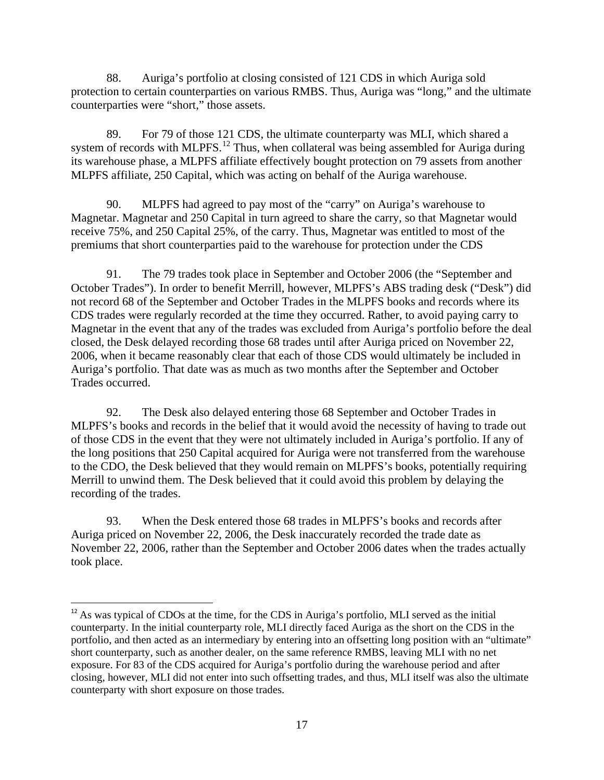88. Auriga's portfolio at closing consisted of 121 CDS in which Auriga sold protection to certain counterparties on various RMBS. Thus, Auriga was "long," and the ultimate counterparties were "short," those assets.

89. For 79 of those 121 CDS, the ultimate counterparty was MLI, which shared a system of records with MLPFS.<sup>12</sup> Thus, when collateral was being assembled for Auriga during its warehouse phase, a MLPFS affiliate effectively bought protection on 79 assets from another MLPFS affiliate, 250 Capital, which was acting on behalf of the Auriga warehouse.

90. MLPFS had agreed to pay most of the "carry" on Auriga's warehouse to Magnetar. Magnetar and 250 Capital in turn agreed to share the carry, so that Magnetar would receive 75%, and 250 Capital 25%, of the carry. Thus, Magnetar was entitled to most of the premiums that short counterparties paid to the warehouse for protection under the CDS

91. The 79 trades took place in September and October 2006 (the "September and October Trades"). In order to benefit Merrill, however, MLPFS's ABS trading desk ("Desk") did not record 68 of the September and October Trades in the MLPFS books and records where its CDS trades were regularly recorded at the time they occurred. Rather, to avoid paying carry to Magnetar in the event that any of the trades was excluded from Auriga's portfolio before the deal closed, the Desk delayed recording those 68 trades until after Auriga priced on November 22, 2006, when it became reasonably clear that each of those CDS would ultimately be included in Auriga's portfolio. That date was as much as two months after the September and October Trades occurred.

92. The Desk also delayed entering those 68 September and October Trades in MLPFS's books and records in the belief that it would avoid the necessity of having to trade out of those CDS in the event that they were not ultimately included in Auriga's portfolio. If any of the long positions that 250 Capital acquired for Auriga were not transferred from the warehouse to the CDO, the Desk believed that they would remain on MLPFS's books, potentially requiring Merrill to unwind them. The Desk believed that it could avoid this problem by delaying the recording of the trades.

93. When the Desk entered those 68 trades in MLPFS's books and records after Auriga priced on November 22, 2006, the Desk inaccurately recorded the trade date as November 22, 2006, rather than the September and October 2006 dates when the trades actually took place.

<sup>&</sup>lt;sup>12</sup> As was typical of CDOs at the time, for the CDS in Auriga's portfolio, MLI served as the initial counterparty. In the initial counterparty role, MLI directly faced Auriga as the short on the CDS in the portfolio, and then acted as an intermediary by entering into an offsetting long position with an "ultimate" short counterparty, such as another dealer, on the same reference RMBS, leaving MLI with no net exposure. For 83 of the CDS acquired for Auriga's portfolio during the warehouse period and after closing, however, MLI did not enter into such offsetting trades, and thus, MLI itself was also the ultimate counterparty with short exposure on those trades.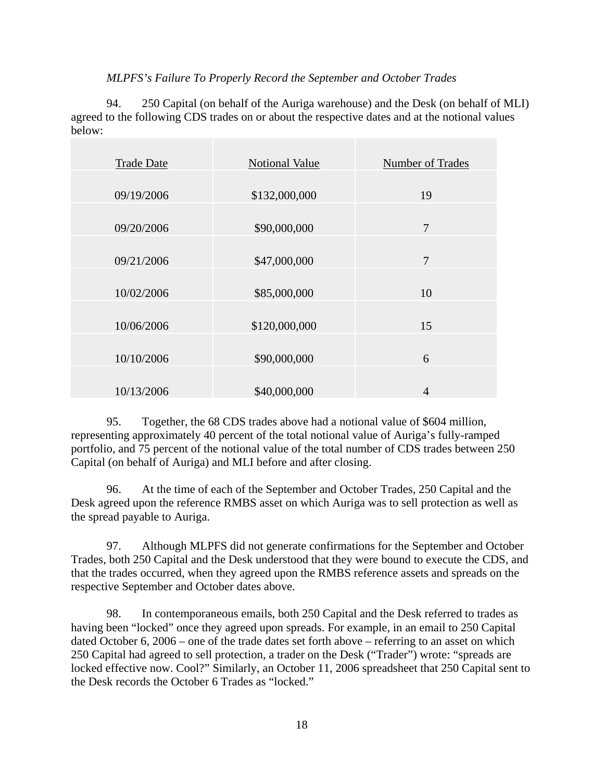### *MLPFS's Failure To Properly Record the September and October Trades*

94. 250 Capital (on behalf of the Auriga warehouse) and the Desk (on behalf of MLI) agreed to the following CDS trades on or about the respective dates and at the notional values below:

| <b>Trade Date</b> | <b>Notional Value</b> | Number of Trades |
|-------------------|-----------------------|------------------|
|                   |                       |                  |
| 09/19/2006        | \$132,000,000         | 19               |
|                   |                       |                  |
| 09/20/2006        | \$90,000,000          | 7                |
|                   |                       |                  |
| 09/21/2006        | \$47,000,000          | 7                |
|                   |                       |                  |
| 10/02/2006        | \$85,000,000          | 10               |
|                   |                       |                  |
| 10/06/2006        | \$120,000,000         | 15               |
|                   |                       |                  |
| 10/10/2006        | \$90,000,000          | 6                |
|                   |                       |                  |
| 10/13/2006        | \$40,000,000          | $\overline{4}$   |
|                   |                       |                  |

95. Together, the 68 CDS trades above had a notional value of \$604 million, representing approximately 40 percent of the total notional value of Auriga's fully-ramped portfolio, and 75 percent of the notional value of the total number of CDS trades between 250 Capital (on behalf of Auriga) and MLI before and after closing.

96. At the time of each of the September and October Trades, 250 Capital and the Desk agreed upon the reference RMBS asset on which Auriga was to sell protection as well as the spread payable to Auriga.

97. Although MLPFS did not generate confirmations for the September and October Trades, both 250 Capital and the Desk understood that they were bound to execute the CDS, and that the trades occurred, when they agreed upon the RMBS reference assets and spreads on the respective September and October dates above.

98. In contemporaneous emails, both 250 Capital and the Desk referred to trades as having been "locked" once they agreed upon spreads. For example, in an email to 250 Capital dated October 6, 2006 – one of the trade dates set forth above – referring to an asset on which 250 Capital had agreed to sell protection, a trader on the Desk ("Trader") wrote: "spreads are locked effective now. Cool?" Similarly, an October 11, 2006 spreadsheet that 250 Capital sent to the Desk records the October 6 Trades as "locked."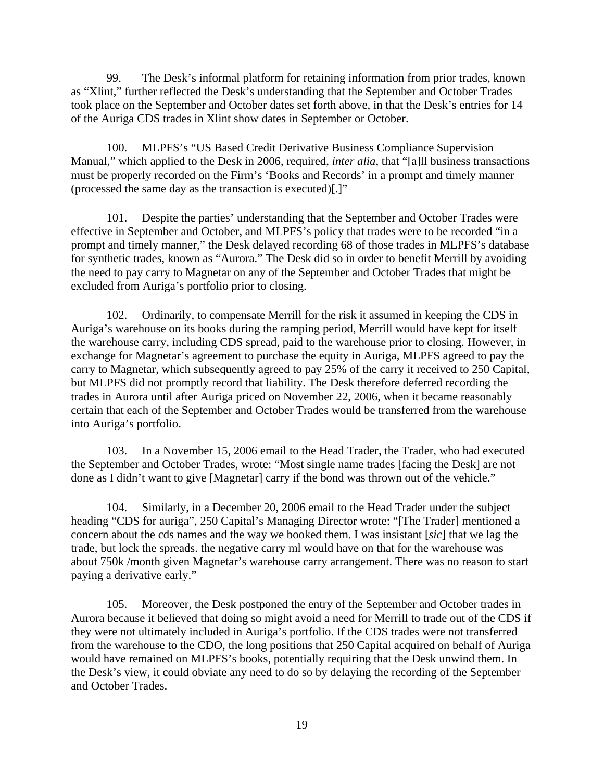99. The Desk's informal platform for retaining information from prior trades, known as "Xlint," further reflected the Desk's understanding that the September and October Trades took place on the September and October dates set forth above, in that the Desk's entries for 14 of the Auriga CDS trades in Xlint show dates in September or October.

100. MLPFS's "US Based Credit Derivative Business Compliance Supervision Manual," which applied to the Desk in 2006, required, *inter alia*, that "[a]ll business transactions must be properly recorded on the Firm's 'Books and Records' in a prompt and timely manner (processed the same day as the transaction is executed)[.]"

101. Despite the parties' understanding that the September and October Trades were effective in September and October, and MLPFS's policy that trades were to be recorded "in a prompt and timely manner," the Desk delayed recording 68 of those trades in MLPFS's database for synthetic trades, known as "Aurora." The Desk did so in order to benefit Merrill by avoiding the need to pay carry to Magnetar on any of the September and October Trades that might be excluded from Auriga's portfolio prior to closing.

102. Ordinarily, to compensate Merrill for the risk it assumed in keeping the CDS in Auriga's warehouse on its books during the ramping period, Merrill would have kept for itself the warehouse carry, including CDS spread, paid to the warehouse prior to closing. However, in exchange for Magnetar's agreement to purchase the equity in Auriga, MLPFS agreed to pay the carry to Magnetar, which subsequently agreed to pay 25% of the carry it received to 250 Capital, but MLPFS did not promptly record that liability. The Desk therefore deferred recording the trades in Aurora until after Auriga priced on November 22, 2006, when it became reasonably certain that each of the September and October Trades would be transferred from the warehouse into Auriga's portfolio.

103. In a November 15, 2006 email to the Head Trader, the Trader, who had executed the September and October Trades, wrote: "Most single name trades [facing the Desk] are not done as I didn't want to give [Magnetar] carry if the bond was thrown out of the vehicle."

104. Similarly, in a December 20, 2006 email to the Head Trader under the subject heading "CDS for auriga", 250 Capital's Managing Director wrote: "[The Trader] mentioned a concern about the cds names and the way we booked them. I was insistant [*sic*] that we lag the trade, but lock the spreads. the negative carry ml would have on that for the warehouse was about 750k /month given Magnetar's warehouse carry arrangement. There was no reason to start paying a derivative early."

105. Moreover, the Desk postponed the entry of the September and October trades in Aurora because it believed that doing so might avoid a need for Merrill to trade out of the CDS if they were not ultimately included in Auriga's portfolio. If the CDS trades were not transferred from the warehouse to the CDO, the long positions that 250 Capital acquired on behalf of Auriga would have remained on MLPFS's books, potentially requiring that the Desk unwind them. In the Desk's view, it could obviate any need to do so by delaying the recording of the September and October Trades.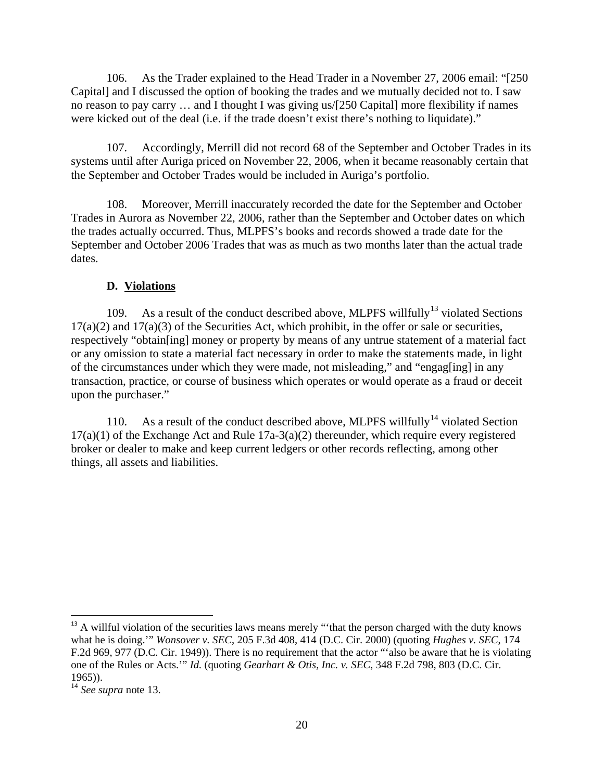106. As the Trader explained to the Head Trader in a November 27, 2006 email: "[250 Capital] and I discussed the option of booking the trades and we mutually decided not to. I saw no reason to pay carry … and I thought I was giving us/[250 Capital] more flexibility if names were kicked out of the deal (i.e. if the trade doesn't exist there's nothing to liquidate)."

107. Accordingly, Merrill did not record 68 of the September and October Trades in its systems until after Auriga priced on November 22, 2006, when it became reasonably certain that the September and October Trades would be included in Auriga's portfolio.

108. Moreover, Merrill inaccurately recorded the date for the September and October Trades in Aurora as November 22, 2006, rather than the September and October dates on which the trades actually occurred. Thus, MLPFS's books and records showed a trade date for the September and October 2006 Trades that was as much as two months later than the actual trade dates.

#### **D. Violations**

109. As a result of the conduct described above, MLPFS willfully<sup>13</sup> violated Sections  $17(a)(2)$  and  $17(a)(3)$  of the Securities Act, which prohibit, in the offer or sale or securities, respectively "obtain[ing] money or property by means of any untrue statement of a material fact or any omission to state a material fact necessary in order to make the statements made, in light of the circumstances under which they were made, not misleading," and "engag[ing] in any transaction, practice, or course of business which operates or would operate as a fraud or deceit upon the purchaser."

110. As a result of the conduct described above, MLPFS willfully<sup>14</sup> violated Section  $17(a)(1)$  of the Exchange Act and Rule  $17a-3(a)(2)$  thereunder, which require every registered broker or dealer to make and keep current ledgers or other records reflecting, among other things, all assets and liabilities.

<sup>&</sup>lt;sup>13</sup> A willful violation of the securities laws means merely "that the person charged with the duty knows what he is doing.'" *Wonsover v. SEC*, 205 F.3d 408, 414 (D.C. Cir. 2000) (quoting *Hughes v. SEC*, 174 F.2d 969, 977 (D.C. Cir. 1949)). There is no requirement that the actor "'also be aware that he is violating one of the Rules or Acts.'" *Id.* (quoting *Gearhart & Otis, Inc. v. SEC*, 348 F.2d 798, 803 (D.C. Cir. 1965)).

<sup>14</sup> *See supra* note 13.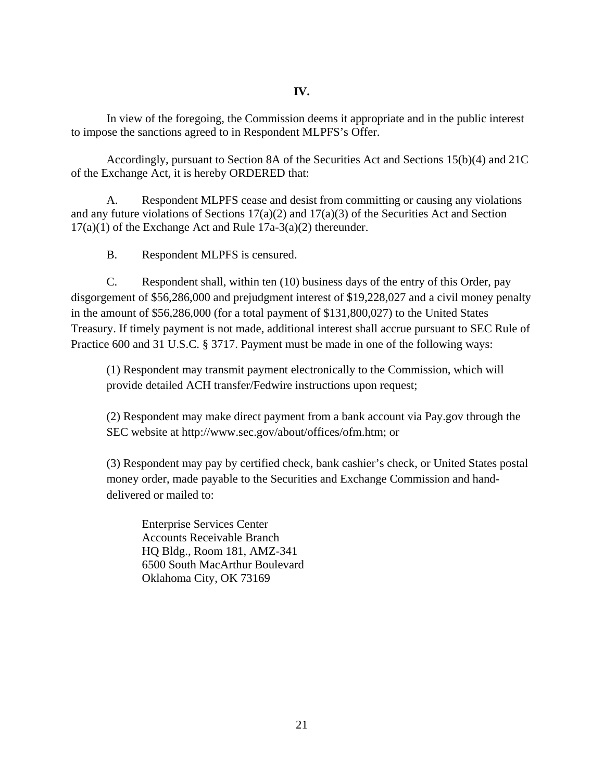In view of the foregoing, the Commission deems it appropriate and in the public interest to impose the sanctions agreed to in Respondent MLPFS's Offer.

Accordingly, pursuant to Section 8A of the Securities Act and Sections 15(b)(4) and 21C of the Exchange Act, it is hereby ORDERED that:

A. Respondent MLPFS cease and desist from committing or causing any violations and any future violations of Sections 17(a)(2) and 17(a)(3) of the Securities Act and Section 17(a)(1) of the Exchange Act and Rule 17a-3(a)(2) thereunder.

B. Respondent MLPFS is censured.

C. Respondent shall, within ten (10) business days of the entry of this Order, pay disgorgement of \$56,286,000 and prejudgment interest of \$19,228,027 and a civil money penalty in the amount of \$56,286,000 (for a total payment of \$131,800,027) to the United States Treasury. If timely payment is not made, additional interest shall accrue pursuant to SEC Rule of Practice 600 and 31 U.S.C. § 3717. Payment must be made in one of the following ways:

(1) Respondent may transmit payment electronically to the Commission, which will provide detailed ACH transfer/Fedwire instructions upon request;

(2) Respondent may make direct payment from a bank account via Pay.gov through the SEC website at http://www.sec.gov/about/offices/ofm.htm; or

(3) Respondent may pay by certified check, bank cashier's check, or United States postal money order, made payable to the Securities and Exchange Commission and handdelivered or mailed to:

Enterprise Services Center Accounts Receivable Branch HQ Bldg., Room 181, AMZ-341 6500 South MacArthur Boulevard Oklahoma City, OK 73169